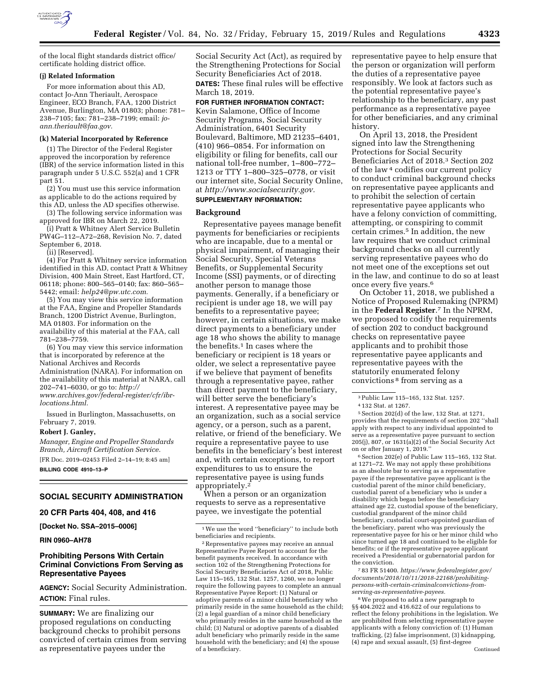

of the local flight standards district office/ certificate holding district office.

# **(j) Related Information**

For more information about this AD, contact Jo-Ann Theriault, Aerospace Engineer, ECO Branch, FAA, 1200 District Avenue, Burlington, MA 01803; phone: 781– 238–7105; fax: 781–238–7199; email: *[jo](mailto:jo-ann.theriault@faa.gov)[ann.theriault@faa.gov.](mailto:jo-ann.theriault@faa.gov)* 

#### **(k) Material Incorporated by Reference**

(1) The Director of the Federal Register approved the incorporation by reference (IBR) of the service information listed in this paragraph under 5 U.S.C. 552(a) and 1 CFR part 51.

(2) You must use this service information as applicable to do the actions required by this AD, unless the AD specifies otherwise.

(3) The following service information was approved for IBR on March 22, 2019.

(i) Pratt & Whitney Alert Service Bulletin PW4G–112–A72–268, Revision No. 7, dated September 6, 2018.

(ii) [Reserved].

(4) For Pratt & Whitney service information identified in this AD, contact Pratt & Whitney Division, 400 Main Street, East Hartford, CT, 06118; phone: 800–565–0140; fax: 860–565– 5442; email: *[help24@pw.utc.com.](mailto:help24@pw.utc.com)* 

(5) You may view this service information at the FAA, Engine and Propeller Standards Branch, 1200 District Avenue, Burlington, MA 01803. For information on the availability of this material at the FAA, call 781–238–7759.

(6) You may view this service information that is incorporated by reference at the National Archives and Records Administration (NARA). For information on the availability of this material at NARA, call 202–741–6030, or go to: *[http://](http://www.archives.gov/federal-register/cfr/ibr-locations.html) [www.archives.gov/federal-register/cfr/ibr](http://www.archives.gov/federal-register/cfr/ibr-locations.html)[locations.html.](http://www.archives.gov/federal-register/cfr/ibr-locations.html)* 

Issued in Burlington, Massachusetts, on February 7, 2019.

### **Robert J. Ganley,**

*Manager, Engine and Propeller Standards Branch, Aircraft Certification Service.* 

[FR Doc. 2019–02453 Filed 2–14–19; 8:45 am] **BILLING CODE 4910–13–P** 

#### **SOCIAL SECURITY ADMINISTRATION**

**20 CFR Parts 404, 408, and 416** 

**[Docket No. SSA–2015–0006]** 

### **RIN 0960–AH78**

## **Prohibiting Persons With Certain Criminal Convictions From Serving as Representative Payees**

**AGENCY:** Social Security Administration. **ACTION:** Final rules.

**SUMMARY:** We are finalizing our proposed regulations on conducting background checks to prohibit persons convicted of certain crimes from serving as representative payees under the

Social Security Act (Act), as required by the Strengthening Protections for Social Security Beneficiaries Act of 2018. **DATES:** These final rules will be effective March 18, 2019.

#### **FOR FURTHER INFORMATION CONTACT:**

Kevin Salamone, Office of Income Security Programs, Social Security Administration, 6401 Security Boulevard, Baltimore, MD 21235–6401, (410) 966–0854. For information on eligibility or filing for benefits, call our national toll-free number, 1–800–772– 1213 or TTY 1–800–325–0778, or visit our internet site, Social Security Online, at *[http://www.socialsecurity.gov.](http://www.socialsecurity.gov)* 

# **SUPPLEMENTARY INFORMATION:**

## **Background**

Representative payees manage benefit payments for beneficiaries or recipients who are incapable, due to a mental or physical impairment, of managing their Social Security, Special Veterans Benefits, or Supplemental Security Income (SSI) payments, or of directing another person to manage those payments. Generally, if a beneficiary or recipient is under age 18, we will pay benefits to a representative payee; however, in certain situations, we make direct payments to a beneficiary under age 18 who shows the ability to manage the benefits.1 In cases where the beneficiary or recipient is 18 years or older, we select a representative payee if we believe that payment of benefits through a representative payee, rather than direct payment to the beneficiary, will better serve the beneficiary's interest. A representative payee may be an organization, such as a social service agency, or a person, such as a parent, relative, or friend of the beneficiary. We require a representative payee to use benefits in the beneficiary's best interest and, with certain exceptions, to report expenditures to us to ensure the representative payee is using funds appropriately.2

When a person or an organization requests to serve as a representative payee, we investigate the potential

representative payee to help ensure that the person or organization will perform the duties of a representative payee responsibly. We look at factors such as the potential representative payee's relationship to the beneficiary, any past performance as a representative payee for other beneficiaries, and any criminal history.

On April 13, 2018, the President signed into law the Strengthening Protections for Social Security Beneficiaries Act of 2018.3 Section 202 of the law 4 codifies our current policy to conduct criminal background checks on representative payee applicants and to prohibit the selection of certain representative payee applicants who have a felony conviction of committing, attempting, or conspiring to commit certain crimes.5 In addition, the new law requires that we conduct criminal background checks on all currently serving representative payees who do not meet one of the exceptions set out in the law, and continue to do so at least once every five years.6

On October 11, 2018, we published a Notice of Proposed Rulemaking (NPRM) in the **Federal Register**.7 In the NPRM, we proposed to codify the requirements of section 202 to conduct background checks on representative payee applicants and to prohibit those representative payee applicants and representative payees with the statutorily enumerated felony convictions 8 from serving as a

 $^6$  Section 202(e) of Public Law 115–165, 132 Stat. at 1271–72. We may not apply these prohibitions as an absolute bar to serving as a representative payee if the representative payee applicant is the custodial parent of the minor child beneficiary, custodial parent of a beneficiary who is under a disability which began before the beneficiary attained age 22, custodial spouse of the beneficiary, custodial grandparent of the minor child beneficiary, custodial court-appointed guardian of the beneficiary, parent who was previously the representative payee for his or her minor child who since turned age 18 and continued to be eligible for benefits; or if the representative payee applicant received a Presidential or gubernatorial pardon for the conviction.

7 83 FR 51400. *[https://www.federalregister.gov/](https://www.federalregister.gov/documents/2018/10/11/2018-22168/prohibiting-persons-with-certain-criminalconvictions-from-serving-as-representative-payees)  [documents/2018/10/11/2018-22168/prohibiting](https://www.federalregister.gov/documents/2018/10/11/2018-22168/prohibiting-persons-with-certain-criminalconvictions-from-serving-as-representative-payees)[persons-with-certain-criminalconvictions-from](https://www.federalregister.gov/documents/2018/10/11/2018-22168/prohibiting-persons-with-certain-criminalconvictions-from-serving-as-representative-payees)[serving-as-representative-payees.](https://www.federalregister.gov/documents/2018/10/11/2018-22168/prohibiting-persons-with-certain-criminalconvictions-from-serving-as-representative-payees)* 

8We proposed to add a new paragraph to §§ 404.2022 and 416.622 of our regulations to reflect the felony prohibitions in the legislation. We are prohibited from selecting representative payee applicants with a felony conviction of: (1) Human trafficking, (2) false imprisonment, (3) kidnapping, (4) rape and sexual assault, (5) first-degree

<sup>1</sup>We use the word ''beneficiary'' to include both beneficiaries and recipients.

<sup>2</sup>Representative payees may receive an annual Representative Payee Report to account for the benefit payments received. In accordance with section 102 of the Strengthening Protections for Social Security Beneficiaries Act of 2018, Public Law 115–165, 132 Stat. 1257, 1260, we no longer require the following payees to complete an annual Representative Payee Report: (1) Natural or adoptive parents of a minor child beneficiary who primarily reside in the same household as the child; (2) a legal guardian of a minor child beneficiary who primarily resides in the same household as the child; (3) Natural or adoptive parents of a disabled adult beneficiary who primarily reside in the same household with the beneficiary; and (4) the spouse of a beneficiary.

<sup>3</sup>Public Law 115–165, 132 Stat. 1257.

<sup>4</sup> 132 Stat. at 1267.

<sup>5</sup>Section 202(d) of the law, 132 Stat. at 1271, provides that the requirements of section 202 ''shall apply with respect to any individual appointed to serve as a representative payee pursuant to section 205(j), 807, or 1631(a)(2) of the Social Security Act on or after January 1, 2019.''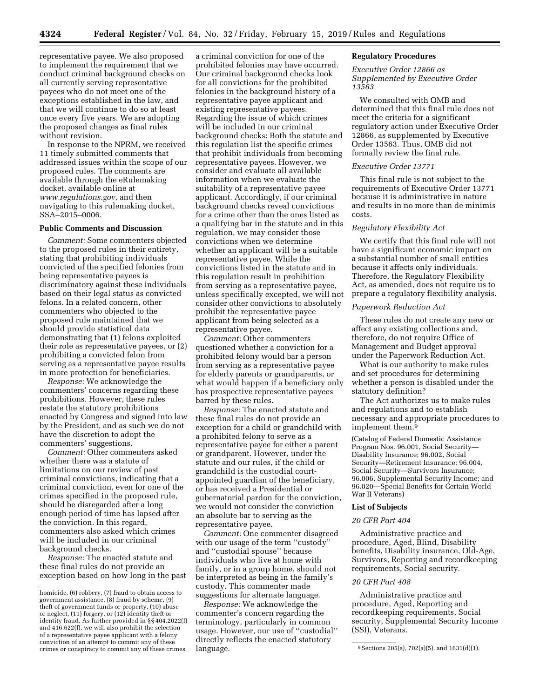representative payee. We also proposed to implement the requirement that we conduct criminal background checks on all currently serving representative payees who do not meet one of the exceptions established in the law, and that we will continue to do so at least once every five years. We are adopting the proposed changes as final rules without revision.

In response to the NPRM, we received 11 timely submitted comments that addressed issues within the scope of our proposed rules. The comments are available through the eRulemaking docket, available online at *[www.regulations.gov,](http://www.regulations.gov)* and then navigating to this rulemaking docket, SSA–2015–0006.

# **Public Comments and Discussion**

*Comment:* Some commenters objected to the proposed rules in their entirety, stating that prohibiting individuals convicted of the specified felonies from being representative payees is discriminatory against these individuals based on their legal status as convicted felons. In a related concern, other commenters who objected to the proposed rule maintained that we should provide statistical data demonstrating that (1) felons exploited their role as representative payees, or (2) prohibiting a convicted felon from serving as a representative payee results in more protection for beneficiaries.

*Response:* We acknowledge the commenters' concerns regarding these prohibitions. However, these rules restate the statutory prohibitions enacted by Congress and signed into law by the President, and as such we do not have the discretion to adopt the commenters' suggestions.

*Comment:* Other commenters asked whether there was a statute of limitations on our review of past criminal convictions, indicating that a criminal conviction, even for one of the crimes specified in the proposed rule, should be disregarded after a long enough period of time has lapsed after the conviction. In this regard, commenters also asked which crimes will be included in our criminal background checks.

*Response:* The enacted statute and these final rules do not provide an exception based on how long in the past

a criminal conviction for one of the prohibited felonies may have occurred. Our criminal background checks look for all convictions for the prohibited felonies in the background history of a representative payee applicant and existing representative payees. Regarding the issue of which crimes will be included in our criminal background checks: Both the statute and this regulation list the specific crimes that prohibit individuals from becoming representative payees. However, we consider and evaluate all available information when we evaluate the suitability of a representative payee applicant. Accordingly, if our criminal background checks reveal convictions for a crime other than the ones listed as a qualifying bar in the statute and in this regulation, we may consider those convictions when we determine whether an applicant will be a suitable representative payee. While the convictions listed in the statute and in this regulation result in prohibition from serving as a representative payee, unless specifically excepted, we will not consider other convictions to absolutely prohibit the representative payee applicant from being selected as a representative payee.

*Comment:* Other commenters questioned whether a conviction for a prohibited felony would bar a person from serving as a representative payee for elderly parents or grandparents, or what would happen if a beneficiary only has prospective representative payees barred by these rules.

*Response:* The enacted statute and these final rules do not provide an exception for a child or grandchild with a prohibited felony to serve as a representative payee for either a parent or grandparent. However, under the statute and our rules, if the child or grandchild is the custodial courtappointed guardian of the beneficiary, or has received a Presidential or gubernatorial pardon for the conviction, we would not consider the conviction an absolute bar to serving as the representative payee.

*Comment:* One commenter disagreed with our usage of the term ''custody'' and ''custodial spouse'' because individuals who live at home with family, or in a group home, should not be interpreted as being in the family's custody. This commenter made suggestions for alternate language.

*Response:* We acknowledge the commenter's concern regarding the terminology, particularly in common usage. However, our use of ''custodial'' directly reflects the enacted statutory language.

### **Regulatory Procedures**

*Executive Order 12866 as Supplemented by Executive Order 13563* 

We consulted with OMB and determined that this final rule does not meet the criteria for a significant regulatory action under Executive Order 12866, as supplemented by Executive Order 13563. Thus, OMB did not formally review the final rule.

#### *Executive Order 13771*

This final rule is not subject to the requirements of Executive Order 13771 because it is administrative in nature and results in no more than de minimis costs.

#### *Regulatory Flexibility Act*

We certify that this final rule will not have a significant economic impact on a substantial number of small entities because it affects only individuals. Therefore, the Regulatory Flexibility Act, as amended, does not require us to prepare a regulatory flexibility analysis.

### *Paperwork Reduction Act*

These rules do not create any new or affect any existing collections and, therefore, do not require Office of Management and Budget approval under the Paperwork Reduction Act.

What is our authority to make rules and set procedures for determining whether a person is disabled under the statutory definition?

The Act authorizes us to make rules and regulations and to establish necessary and appropriate procedures to implement them.9

(Catalog of Federal Domestic Assistance Program Nos. 96.001, Social Security— Disability Insurance; 96.002, Social Security—Retirement Insurance; 96.004, Social Security—Survivors Insurance; 96.006, Supplemental Security Income; and 96.020—Special Benefits for Certain World War II Veterans)

## **List of Subjects**

#### *20 CFR Part 404*

Administrative practice and procedure, Aged, Blind, Disability benefits, Disability insurance, Old-Age, Survivors, Reporting and recordkeeping requirements, Social security.

#### *20 CFR Part 408*

Administrative practice and procedure, Aged, Reporting and recordkeeping requirements, Social security, Supplemental Security Income (SSI), Veterans.

homicide, (6) robbery, (7) fraud to obtain access to government assistance, (8) fraud by scheme, (9) theft of government funds or property, (10) abuse or neglect, (11) forgery, or (12) identity theft or identity fraud. As further provided in §§ 404.2022(f) and 416.622(f), we will also prohibit the selection of a representative payee applicant with a felony conviction of an attempt to commit any of these crimes or conspiracy to commit any of these crimes. language.  $\blacksquare$   $\blacksquare$   $\blacksquare$   $\blacksquare$   $\blacksquare$   $\blacksquare$   $\blacksquare$   $\blacksquare$   $\blacksquare$   $\blacksquare$   $\blacksquare$   $\blacksquare$   $\blacksquare$   $\blacksquare$   $\blacksquare$   $\blacksquare$   $\blacksquare$   $\blacksquare$   $\blacksquare$   $\blacksquare$   $\blacksquare$   $\blacksquare$   $\blacksquare$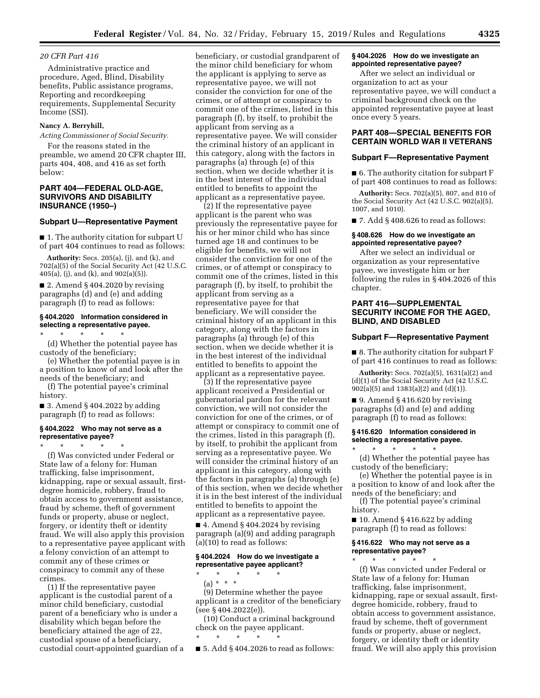## *20 CFR Part 416*

Administrative practice and procedure, Aged, Blind, Disability benefits, Public assistance programs, Reporting and recordkeeping requirements, Supplemental Security Income (SSI).

## **Nancy A. Berryhill,**

*Acting Commissioner of Social Security.* 

For the reasons stated in the preamble, we amend 20 CFR chapter III, parts 404, 408, and 416 as set forth below:

## **PART 404—FEDERAL OLD-AGE, SURVIVORS AND DISABILITY INSURANCE (1950–)**

#### **Subpart U—Representative Payment**

■ 1. The authority citation for subpart U of part 404 continues to read as follows:

**Authority:** Secs. 205(a), (j), and (k), and 702(a)(5) of the Social Security Act (42 U.S.C. 405(a), (j), and (k), and 902(a)(5)).

 $\blacksquare$  2. Amend § 404.2020 by revising paragraphs (d) and (e) and adding paragraph (f) to read as follows:

### **§ 404.2020 Information considered in selecting a representative payee.**

\* \* \* \* \*

(d) Whether the potential payee has custody of the beneficiary;

(e) Whether the potential payee is in a position to know of and look after the needs of the beneficiary; and

(f) The potential payee's criminal history.

■ 3. Amend § 404.2022 by adding paragraph (f) to read as follows:

### **§ 404.2022 Who may not serve as a representative payee?**

\* \* \* \* \* (f) Was convicted under Federal or State law of a felony for: Human trafficking, false imprisonment, kidnapping, rape or sexual assault, firstdegree homicide, robbery, fraud to obtain access to government assistance, fraud by scheme, theft of government funds or property, abuse or neglect, forgery, or identity theft or identity fraud. We will also apply this provision to a representative payee applicant with a felony conviction of an attempt to commit any of these crimes or conspiracy to commit any of these crimes.

(1) If the representative payee applicant is the custodial parent of a minor child beneficiary, custodial parent of a beneficiary who is under a disability which began before the beneficiary attained the age of 22, custodial spouse of a beneficiary, custodial court-appointed guardian of a

beneficiary, or custodial grandparent of the minor child beneficiary for whom the applicant is applying to serve as representative payee, we will not consider the conviction for one of the crimes, or of attempt or conspiracy to commit one of the crimes, listed in this paragraph (f), by itself, to prohibit the applicant from serving as a representative payee. We will consider the criminal history of an applicant in this category, along with the factors in paragraphs (a) through (e) of this section, when we decide whether it is in the best interest of the individual entitled to benefits to appoint the applicant as a representative payee.

(2) If the representative payee applicant is the parent who was previously the representative payee for his or her minor child who has since turned age 18 and continues to be eligible for benefits, we will not consider the conviction for one of the crimes, or of attempt or conspiracy to commit one of the crimes, listed in this paragraph (f), by itself, to prohibit the applicant from serving as a representative payee for that beneficiary. We will consider the criminal history of an applicant in this category, along with the factors in paragraphs (a) through (e) of this section, when we decide whether it is in the best interest of the individual entitled to benefits to appoint the applicant as a representative payee.

(3) If the representative payee applicant received a Presidential or gubernatorial pardon for the relevant conviction, we will not consider the conviction for one of the crimes, or of attempt or conspiracy to commit one of the crimes, listed in this paragraph (f), by itself, to prohibit the applicant from serving as a representative payee. We will consider the criminal history of an applicant in this category, along with the factors in paragraphs (a) through (e) of this section, when we decide whether it is in the best interest of the individual entitled to benefits to appoint the applicant as a representative payee.

■ 4. Amend § 404.2024 by revising paragraph (a)(9) and adding paragraph (a)(10) to read as follows:

## **§ 404.2024 How do we investigate a representative payee applicant?**

\* \* \* \* \* (a) \* \* \* (9) Determine whether the payee applicant is a creditor of the beneficiary (see § 404.2022(e)).

(10) Conduct a criminal background check on the payee applicant. \* \* \* \* \*

■ 5. Add § 404.2026 to read as follows:

### **§ 404.2026 How do we investigate an appointed representative payee?**

After we select an individual or organization to act as your representative payee, we will conduct a criminal background check on the appointed representative payee at least once every 5 years.

# **PART 408—SPECIAL BENEFITS FOR CERTAIN WORLD WAR II VETERANS**

#### **Subpart F—Representative Payment**

■ 6. The authority citation for subpart F of part 408 continues to read as follows:

**Authority:** Secs. 702(a)(5), 807, and 810 of the Social Security Act (42 U.S.C. 902(a)(5), 1007, and 1010).

 $\blacksquare$  7. Add § 408.626 to read as follows:

### **§ 408.626 How do we investigate an appointed representative payee?**

After we select an individual or organization as your representative payee, we investigate him or her following the rules in § 404.2026 of this chapter.

## **PART 416—SUPPLEMENTAL SECURITY INCOME FOR THE AGED, BLIND, AND DISABLED**

#### **Subpart F—Representative Payment**

■ 8. The authority citation for subpart F of part 416 continues to read as follows:

**Authority:** Secs. 702(a)(5), 1631(a)(2) and (d)(1) of the Social Security Act (42 U.S.C. 902(a)(5) and 1383(a)(2) and (d)(1)).

 $\blacksquare$  9. Amend § 416.620 by revising paragraphs (d) and (e) and adding paragraph (f) to read as follows:

### **§ 416.620 Information considered in selecting a representative payee.**

\* \* \* \* \* (d) Whether the potential payee has custody of the beneficiary;

(e) Whether the potential payee is in a position to know of and look after the needs of the beneficiary; and

(f) The potential payee's criminal history.

 $\blacksquare$  10. Amend § 416.622 by adding paragraph (f) to read as follows:

# **§ 416.622 Who may not serve as a representative payee?**

\* \* \* \* \*

(f) Was convicted under Federal or State law of a felony for: Human trafficking, false imprisonment, kidnapping, rape or sexual assault, firstdegree homicide, robbery, fraud to obtain access to government assistance, fraud by scheme, theft of government funds or property, abuse or neglect, forgery, or identity theft or identity fraud. We will also apply this provision